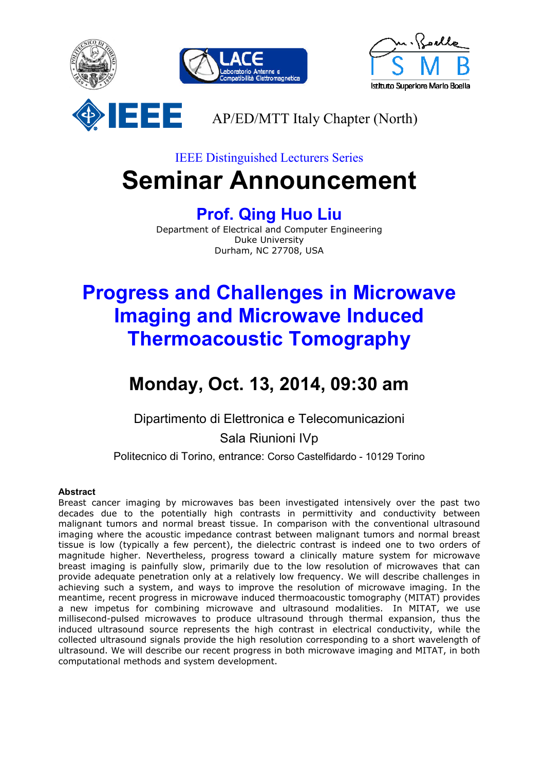

## IEEE Distinguished Lecturers Series **Seminar Announcement**

### **Prof. Qing Huo Liu**

Department of Electrical and Computer Engineering Duke University Durham, NC 27708, USA

# **Progress and Challenges in Microwave Imaging and Microwave Induced Thermoacoustic Tomography**

## **Monday, Oct. 13, 2014, 09:30 am**

Dipartimento di Elettronica e Telecomunicazioni Sala Riunioni IVp

Politecnico di Torino, entrance: Corso Castelfidardo - 10129 Torino

#### **Abstract**

Breast cancer imaging by microwaves bas been investigated intensively over the past two decades due to the potentially high contrasts in permittivity and conductivity between malignant tumors and normal breast tissue. In comparison with the conventional ultrasound imaging where the acoustic impedance contrast between malignant tumors and normal breast tissue is low (typically a few percent), the dielectric contrast is indeed one to two orders of magnitude higher. Nevertheless, progress toward a clinically mature system for microwave breast imaging is painfully slow, primarily due to the low resolution of microwaves that can provide adequate penetration only at a relatively low frequency. We will describe challenges in achieving such a system, and ways to improve the resolution of microwave imaging. In the meantime, recent progress in microwave induced thermoacoustic tomography (MITAT) provides a new impetus for combining microwave and ultrasound modalities. In MITAT, we use millisecond-pulsed microwaves to produce ultrasound through thermal expansion, thus the induced ultrasound source represents the high contrast in electrical conductivity, while the collected ultrasound signals provide the high resolution corresponding to a short wavelength of ultrasound. We will describe our recent progress in both microwave imaging and MITAT, in both computational methods and system development.